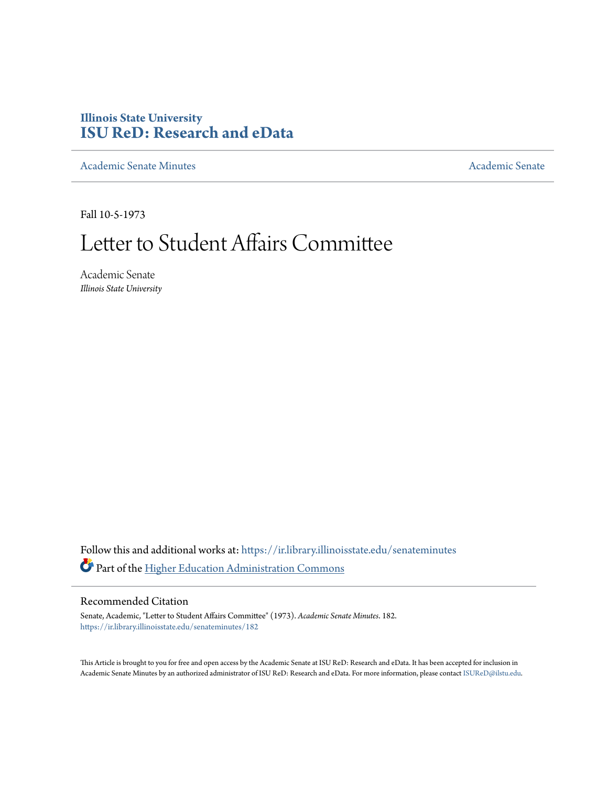## **Illinois State University [ISU ReD: Research and eData](https://ir.library.illinoisstate.edu?utm_source=ir.library.illinoisstate.edu%2Fsenateminutes%2F182&utm_medium=PDF&utm_campaign=PDFCoverPages)**

[Academic Senate Minutes](https://ir.library.illinoisstate.edu/senateminutes?utm_source=ir.library.illinoisstate.edu%2Fsenateminutes%2F182&utm_medium=PDF&utm_campaign=PDFCoverPages) [Academic Senate](https://ir.library.illinoisstate.edu/senate?utm_source=ir.library.illinoisstate.edu%2Fsenateminutes%2F182&utm_medium=PDF&utm_campaign=PDFCoverPages) Academic Senate

Fall 10-5-1973

# Letter to Student Affairs Committee

Academic Senate *Illinois State University*

Follow this and additional works at: [https://ir.library.illinoisstate.edu/senateminutes](https://ir.library.illinoisstate.edu/senateminutes?utm_source=ir.library.illinoisstate.edu%2Fsenateminutes%2F182&utm_medium=PDF&utm_campaign=PDFCoverPages) Part of the [Higher Education Administration Commons](http://network.bepress.com/hgg/discipline/791?utm_source=ir.library.illinoisstate.edu%2Fsenateminutes%2F182&utm_medium=PDF&utm_campaign=PDFCoverPages)

#### Recommended Citation

Senate, Academic, "Letter to Student Affairs Committee" (1973). *Academic Senate Minutes*. 182. [https://ir.library.illinoisstate.edu/senateminutes/182](https://ir.library.illinoisstate.edu/senateminutes/182?utm_source=ir.library.illinoisstate.edu%2Fsenateminutes%2F182&utm_medium=PDF&utm_campaign=PDFCoverPages)

This Article is brought to you for free and open access by the Academic Senate at ISU ReD: Research and eData. It has been accepted for inclusion in Academic Senate Minutes by an authorized administrator of ISU ReD: Research and eData. For more information, please contact [ISUReD@ilstu.edu.](mailto:ISUReD@ilstu.edu)